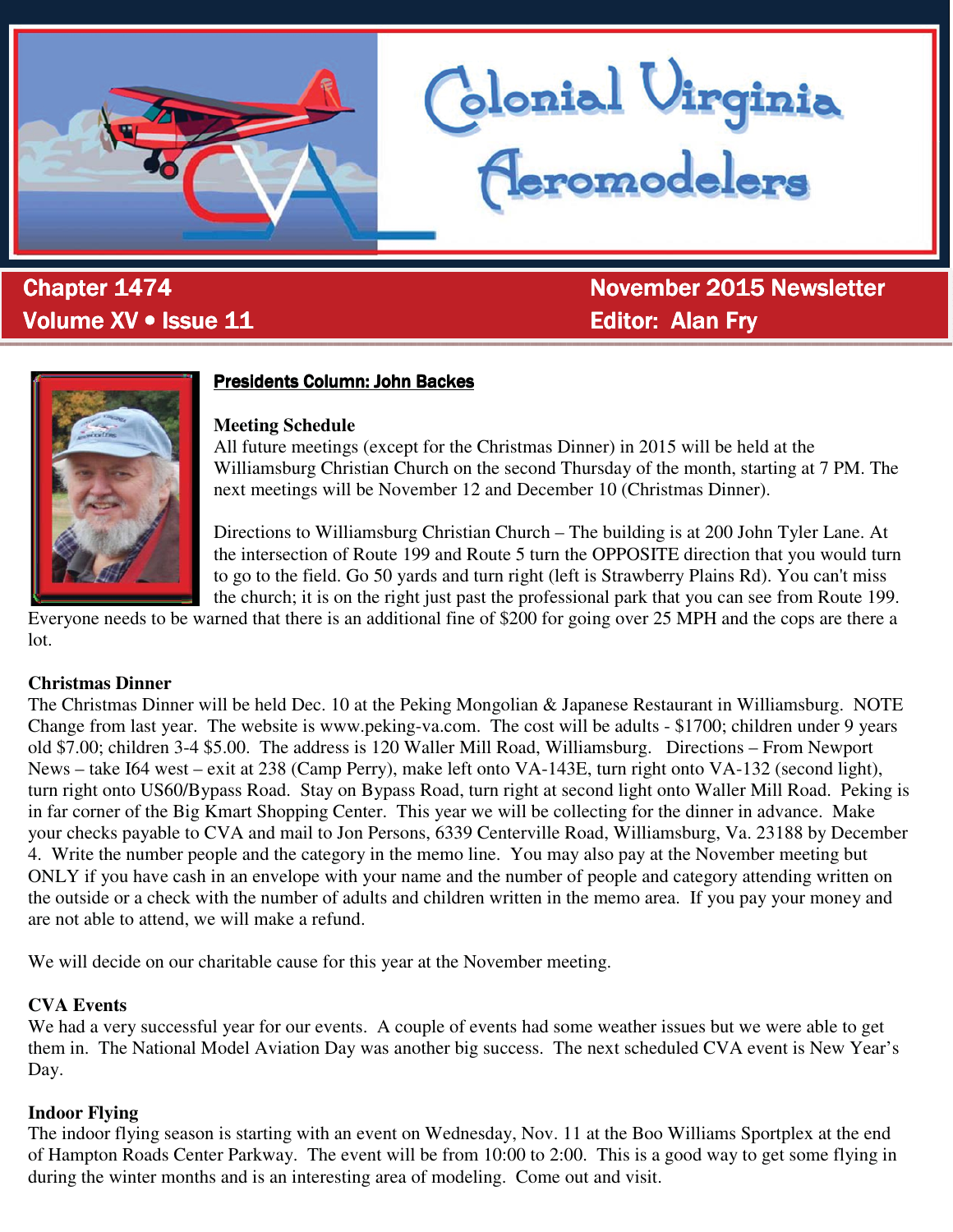

# **Produme XV • Issue 11 And All Concernsive Concernsive Concernsive Concernsive Concernsive Concernsive Concernsive Concernsive Concernsive Concernsive Concernsive Concernsive Concernsive Concernsive Concernsive Concernsive**

&KDSWHU &KDSWHU 1RYHPEHU 1RYHPEHU1RYHPEHU1HZVOHWWHU 1HZVOHWWHU1HZVOHWWHU

blonial Virginia<br>(Ieromodelers



# **Presidents Column: John Backes**

#### **Meeting Schedule**

All future meetings (except for the Christmas Dinner) in 2015 will be held at the Williamsburg Christian Church on the second Thursday of the month, starting at 7 PM. The next meetings will be November 12 and December 10 (Christmas Dinner).

Directions to Williamsburg Christian Church – The building is at 200 John Tyler Lane. At the intersection of Route 199 and Route 5 turn the OPPOSITE direction that you would turn to go to the field. Go 50 yards and turn right (left is Strawberry Plains Rd). You can't miss the church; it is on the right just past the professional park that you can see from Route 199.

Everyone needs to be warned that there is an additional fine of \$200 for going over 25 MPH and the cops are there a lot.

#### **Christmas Dinner**

The Christmas Dinner will be held Dec. 10 at the Peking Mongolian & Japanese Restaurant in Williamsburg. NOTE Change from last year. The website is www.peking-va.com. The cost will be adults - \$1700; children under 9 years old \$7.00; children 3-4 \$5.00. The address is 120 Waller Mill Road, Williamsburg. Directions – From Newport News – take I64 west – exit at 238 (Camp Perry), make left onto VA-143E, turn right onto VA-132 (second light), turn right onto US60/Bypass Road. Stay on Bypass Road, turn right at second light onto Waller Mill Road. Peking is in far corner of the Big Kmart Shopping Center. This year we will be collecting for the dinner in advance. Make your checks payable to CVA and mail to Jon Persons, 6339 Centerville Road, Williamsburg, Va. 23188 by December 4. Write the number people and the category in the memo line. You may also pay at the November meeting but ONLY if you have cash in an envelope with your name and the number of people and category attending written on the outside or a check with the number of adults and children written in the memo area. If you pay your money and are not able to attend, we will make a refund.

We will decide on our charitable cause for this year at the November meeting.

#### **CVA Events**

We had a very successful year for our events. A couple of events had some weather issues but we were able to get them in. The National Model Aviation Day was another big success. The next scheduled CVA event is New Year's Day.

#### **Indoor Flying**

The indoor flying season is starting with an event on Wednesday, Nov. 11 at the Boo Williams Sportplex at the end of Hampton Roads Center Parkway. The event will be from 10:00 to 2:00. This is a good way to get some flying in during the winter months and is an interesting area of modeling. Come out and visit.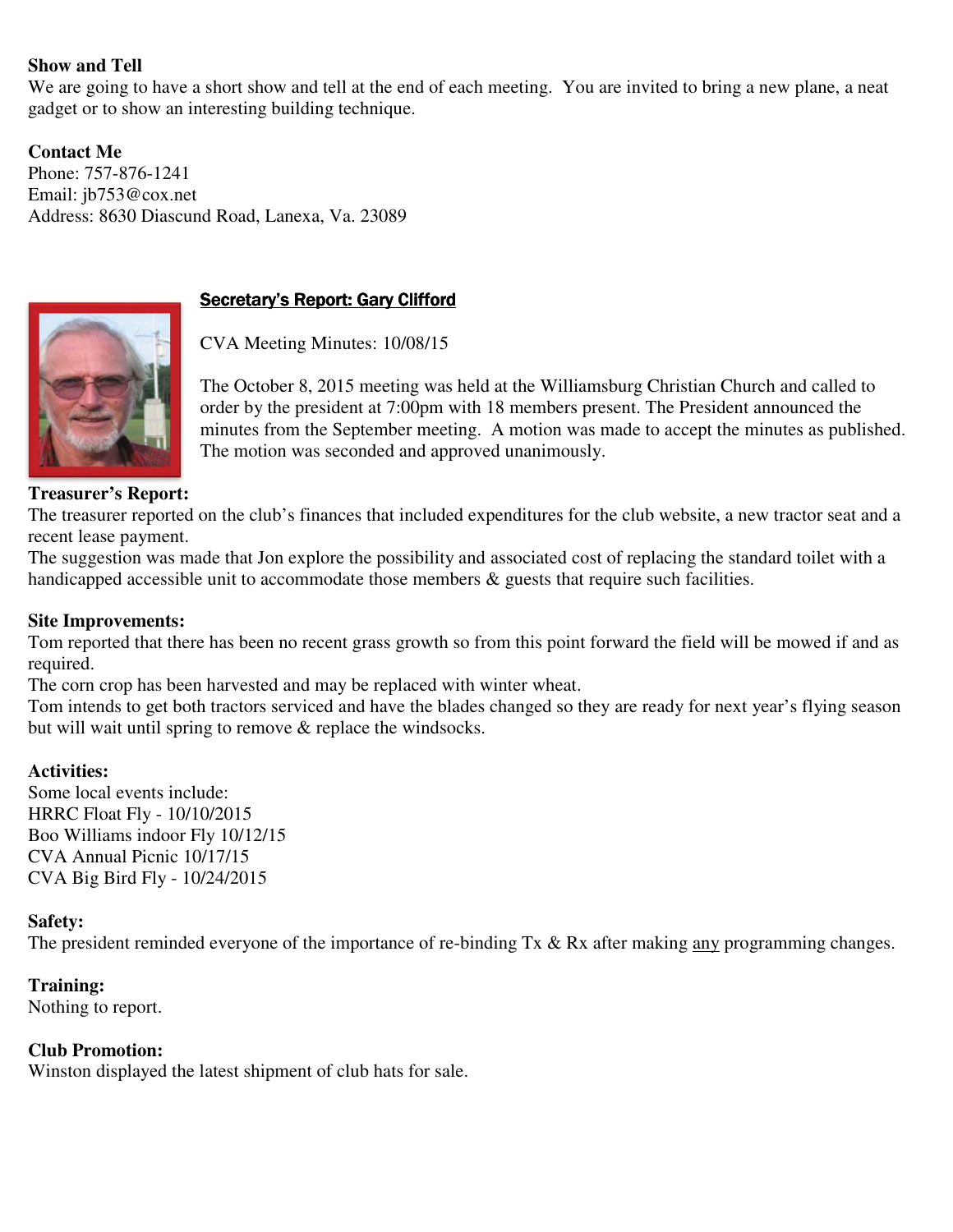#### **Show and Tell**

We are going to have a short show and tell at the end of each meeting. You are invited to bring a new plane, a neat gadget or to show an interesting building technique.

**Contact Me**  Phone: 757-876-1241 Email: jb753@cox.net Address: 8630 Diascund Road, Lanexa, Va. 23089



# Secretary's Report: Gary Clifford

CVA Meeting Minutes: 10/08/15

The October 8, 2015 meeting was held at the Williamsburg Christian Church and called to order by the president at 7:00pm with 18 members present. The President announced the minutes from the September meeting. A motion was made to accept the minutes as published. The motion was seconded and approved unanimously.

#### **Treasurer's Report:**

The treasurer reported on the club's finances that included expenditures for the club website, a new tractor seat and a recent lease payment.

The suggestion was made that Jon explore the possibility and associated cost of replacing the standard toilet with a handicapped accessible unit to accommodate those members  $\&$  guests that require such facilities.

#### **Site Improvements:**

Tom reported that there has been no recent grass growth so from this point forward the field will be mowed if and as required.

The corn crop has been harvested and may be replaced with winter wheat.

Tom intends to get both tractors serviced and have the blades changed so they are ready for next year's flying season but will wait until spring to remove & replace the windsocks.

#### **Activities:**

Some local events include: HRRC Float Fly - 10/10/2015 Boo Williams indoor Fly 10/12/15 CVA Annual Picnic 10/17/15 CVA Big Bird Fly - 10/24/2015

#### **Safety:**

The president reminded everyone of the importance of re-binding Tx & Rx after making any programming changes.

#### **Training:**

Nothing to report.

#### **Club Promotion:**

Winston displayed the latest shipment of club hats for sale.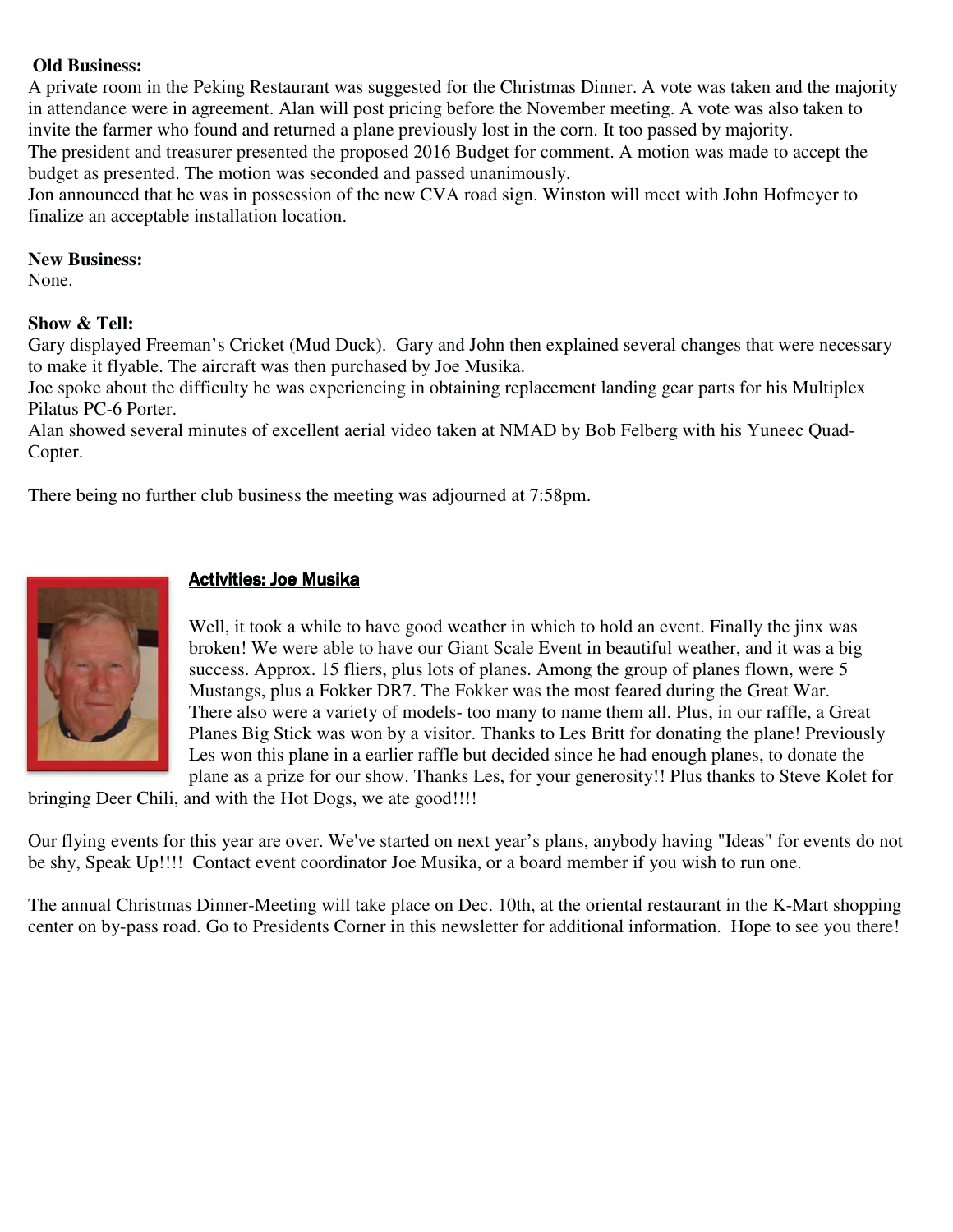#### **Old Business:**

A private room in the Peking Restaurant was suggested for the Christmas Dinner. A vote was taken and the majority in attendance were in agreement. Alan will post pricing before the November meeting. A vote was also taken to invite the farmer who found and returned a plane previously lost in the corn. It too passed by majority.

The president and treasurer presented the proposed 2016 Budget for comment. A motion was made to accept the budget as presented. The motion was seconded and passed unanimously.

Jon announced that he was in possession of the new CVA road sign. Winston will meet with John Hofmeyer to finalize an acceptable installation location.

#### **New Business:**

None.

#### **Show & Tell:**

Gary displayed Freeman's Cricket (Mud Duck). Gary and John then explained several changes that were necessary to make it flyable. The aircraft was then purchased by Joe Musika.

Joe spoke about the difficulty he was experiencing in obtaining replacement landing gear parts for his Multiplex Pilatus PC-6 Porter.

Alan showed several minutes of excellent aerial video taken at NMAD by Bob Felberg with his Yuneec Quad-Copter.

There being no further club business the meeting was adjourned at 7:58pm.



# **Activities: Joe Musika**

Well, it took a while to have good weather in which to hold an event. Finally the jinx was broken! We were able to have our Giant Scale Event in beautiful weather, and it was a big success. Approx. 15 fliers, plus lots of planes. Among the group of planes flown, were 5 Mustangs, plus a Fokker DR7. The Fokker was the most feared during the Great War. There also were a variety of models- too many to name them all. Plus, in our raffle, a Great Planes Big Stick was won by a visitor. Thanks to Les Britt for donating the plane! Previously Les won this plane in a earlier raffle but decided since he had enough planes, to donate the plane as a prize for our show. Thanks Les, for your generosity!! Plus thanks to Steve Kolet for

bringing Deer Chili, and with the Hot Dogs, we ate good!!!!

Our flying events for this year are over. We've started on next year's plans, anybody having "Ideas" for events do not be shy, Speak Up!!!! Contact event coordinator Joe Musika, or a board member if you wish to run one.

The annual Christmas Dinner-Meeting will take place on Dec. 10th, at the oriental restaurant in the K-Mart shopping center on by-pass road. Go to Presidents Corner in this newsletter for additional information. Hope to see you there!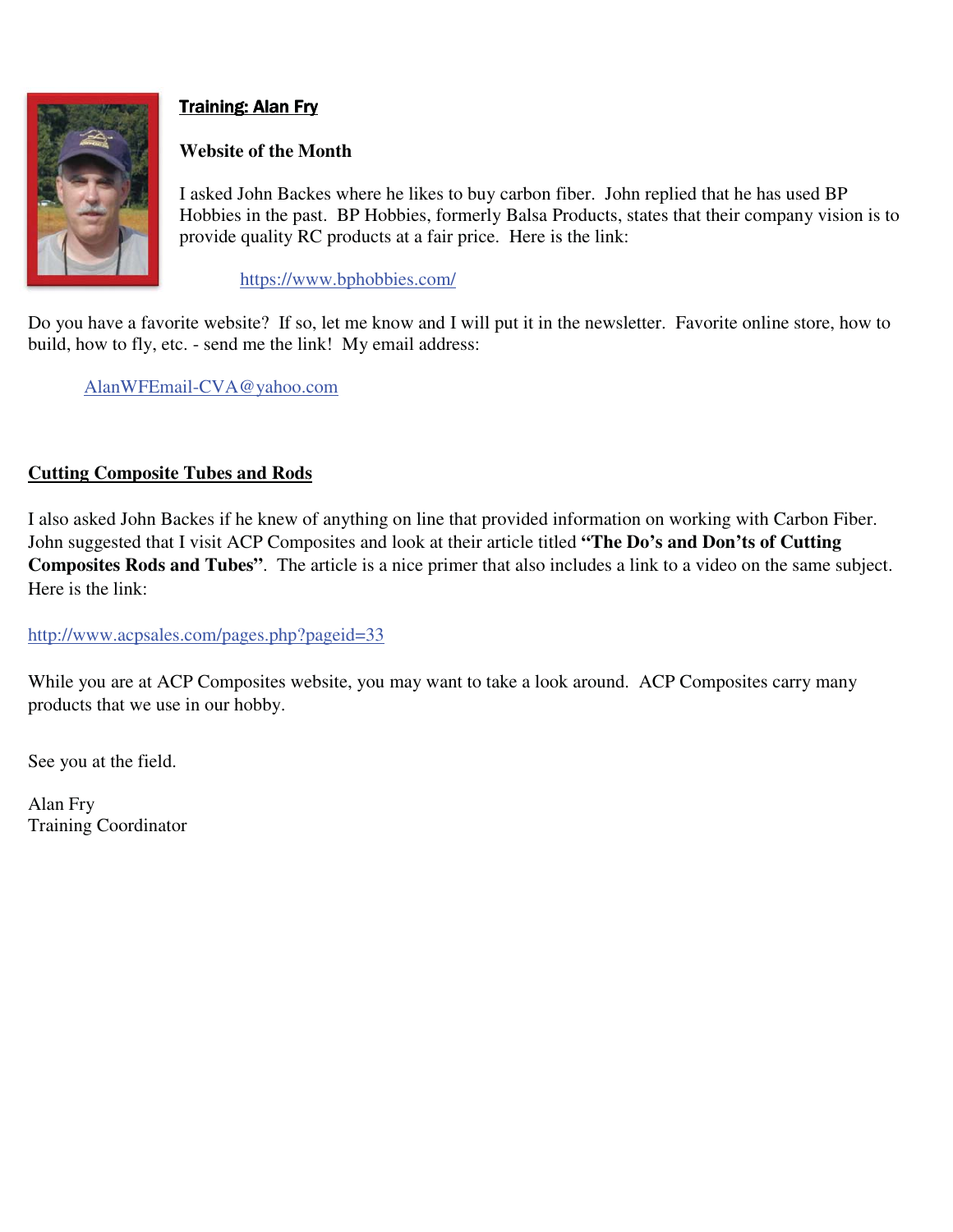

# **Training: Alan Fry**

# **Website of the Month**

I asked John Backes where he likes to buy carbon fiber. John replied that he has used BP Hobbies in the past. BP Hobbies, formerly Balsa Products, states that their company vision is to provide quality RC products at a fair price. Here is the link:

https://www.bphobbies.com/

Do you have a favorite website? If so, let me know and I will put it in the newsletter. Favorite online store, how to build, how to fly, etc. - send me the link! My email address:

AlanWFEmail-CVA@yahoo.com

# **Cutting Composite Tubes and Rods**

I also asked John Backes if he knew of anything on line that provided information on working with Carbon Fiber. John suggested that I visit ACP Composites and look at their article titled **"The Do's and Don'ts of Cutting Composites Rods and Tubes"**. The article is a nice primer that also includes a link to a video on the same subject. Here is the link:

http://www.acpsales.com/pages.php?pageid=33

While you are at ACP Composites website, you may want to take a look around. ACP Composites carry many products that we use in our hobby.

See you at the field.

Alan Fry Training Coordinator